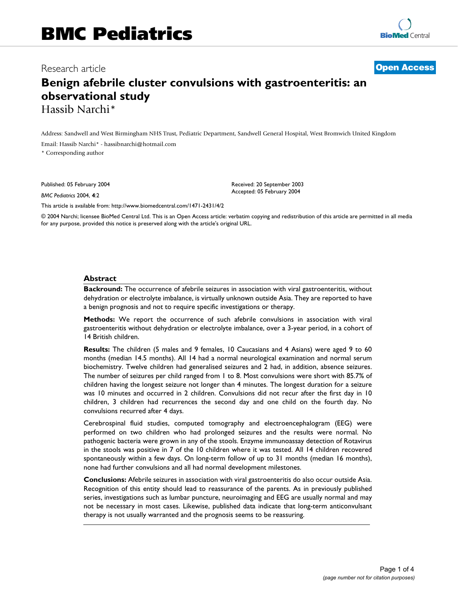# **Benign afebrile cluster convulsions with gastroenteritis: an observational study** Hassib Narchi\*

Address: Sandwell and West Birmingham NHS Trust, Pediatric Department, Sandwell General Hospital, West Bromwich United Kingdom Email: Hassib Narchi\* - hassibnarchi@hotmail.com

\* Corresponding author

Published: 05 February 2004

*BMC Pediatrics* 2004, **4**:2

[This article is available from: http://www.biomedcentral.com/1471-2431/4/2](http://www.biomedcentral.com/1471-2431/4/2)

© 2004 Narchi; licensee BioMed Central Ltd. This is an Open Access article: verbatim copying and redistribution of this article are permitted in all media for any purpose, provided this notice is preserved along with the article's original URL.

Received: 20 September 2003 Accepted: 05 February 2004

#### **Abstract**

**Backround:** The occurrence of afebrile seizures in association with viral gastroenteritis, without dehydration or electrolyte imbalance, is virtually unknown outside Asia. They are reported to have a benign prognosis and not to require specific investigations or therapy.

**Methods:** We report the occurrence of such afebrile convulsions in association with viral gastroenteritis without dehydration or electrolyte imbalance, over a 3-year period, in a cohort of 14 British children.

**Results:** The children (5 males and 9 females, 10 Caucasians and 4 Asians) were aged 9 to 60 months (median 14.5 months). All 14 had a normal neurological examination and normal serum biochemistry. Twelve children had generalised seizures and 2 had, in addition, absence seizures. The number of seizures per child ranged from 1 to 8. Most convulsions were short with 85.7% of children having the longest seizure not longer than 4 minutes. The longest duration for a seizure was 10 minutes and occurred in 2 children. Convulsions did not recur after the first day in 10 children, 3 children had recurrences the second day and one child on the fourth day. No convulsions recurred after 4 days.

Cerebrospinal fluid studies, computed tomography and electroencephalogram (EEG) were performed on two children who had prolonged seizures and the results were normal. No pathogenic bacteria were grown in any of the stools. Enzyme immunoassay detection of Rotavirus in the stools was positive in 7 of the 10 children where it was tested. All 14 children recovered spontaneously within a few days. On long-term follow of up to 31 months (median 16 months), none had further convulsions and all had normal development milestones.

**Conclusions:** Afebrile seizures in association with viral gastroenteritis do also occur outside Asia. Recognition of this entity should lead to reassurance of the parents. As in previously published series, investigations such as lumbar puncture, neuroimaging and EEG are usually normal and may not be necessary in most cases. Likewise, published data indicate that long-term anticonvulsant therapy is not usually warranted and the prognosis seems to be reassuring.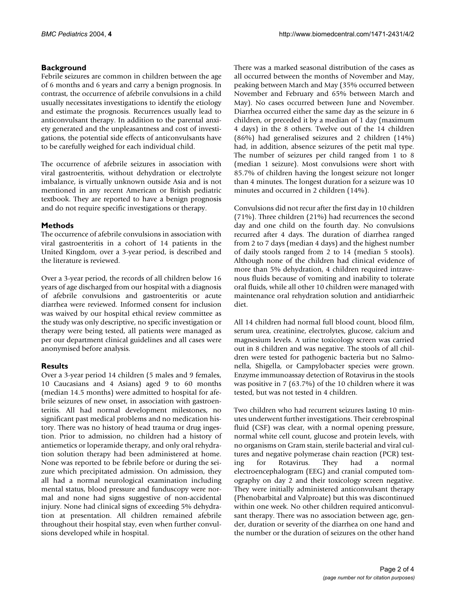# **Background**

Febrile seizures are common in children between the age of 6 months and 6 years and carry a benign prognosis. In contrast, the occurrence of afebrile convulsions in a child usually necessitates investigations to identify the etiology and estimate the prognosis. Recurrences usually lead to anticonvulsant therapy. In addition to the parental anxiety generated and the unpleasantness and cost of investigations, the potential side effects of anticonvulsants have to be carefully weighed for each individual child.

The occurrence of afebrile seizures in association with viral gastroenteritis, without dehydration or electrolyte imbalance, is virtually unknown outside Asia and is not mentioned in any recent American or British pediatric textbook. They are reported to have a benign prognosis and do not require specific investigations or therapy.

## **Methods**

The occurrence of afebrile convulsions in association with viral gastroenteritis in a cohort of 14 patients in the United Kingdom, over a 3-year period, is described and the literature is reviewed.

Over a 3-year period, the records of all children below 16 years of age discharged from our hospital with a diagnosis of afebrile convulsions and gastroenteritis or acute diarrhea were reviewed. Informed consent for inclusion was waived by our hospital ethical review committee as the study was only descriptive, no specific investigation or therapy were being tested, all patients were managed as per our department clinical guidelines and all cases were anonymised before analysis.

# **Results**

Over a 3-year period 14 children (5 males and 9 females, 10 Caucasians and 4 Asians) aged 9 to 60 months (median 14.5 months) were admitted to hospital for afebrile seizures of new onset, in association with gastroenteritis. All had normal development milestones, no significant past medical problems and no medication history. There was no history of head trauma or drug ingestion. Prior to admission, no children had a history of antiemetics or loperamide therapy, and only oral rehydration solution therapy had been administered at home. None was reported to be febrile before or during the seizure which precipitated admission. On admission, they all had a normal neurological examination including mental status, blood pressure and funduscopy were normal and none had signs suggestive of non-accidental injury. None had clinical signs of exceeding 5% dehydration at presentation. All children remained afebrile throughout their hospital stay, even when further convulsions developed while in hospital.

There was a marked seasonal distribution of the cases as all occurred between the months of November and May, peaking between March and May (35% occurred between November and February and 65% between March and May). No cases occurred between June and November. Diarrhea occurred either the same day as the seizure in 6 children, or preceded it by a median of 1 day (maximum 4 days) in the 8 others. Twelve out of the 14 children (86%) had generalised seizures and 2 children (14%) had, in addition, absence seizures of the petit mal type. The number of seizures per child ranged from 1 to 8 (median 1 seizure). Most convulsions were short with 85.7% of children having the longest seizure not longer than 4 minutes. The longest duration for a seizure was 10 minutes and occurred in 2 children (14%).

Convulsions did not recur after the first day in 10 children (71%). Three children (21%) had recurrences the second day and one child on the fourth day. No convulsions recurred after 4 days. The duration of diarrhea ranged from 2 to 7 days (median 4 days) and the highest number of daily stools ranged from 2 to 14 (median 5 stools). Although none of the children had clinical evidence of more than 5% dehydration, 4 children required intravenous fluids because of vomiting and inability to tolerate oral fluids, while all other 10 children were managed with maintenance oral rehydration solution and antidiarrheic diet.

All 14 children had normal full blood count, blood film, serum urea, creatinine, electrolytes, glucose, calcium and magnesium levels. A urine toxicology screen was carried out in 8 children and was negative. The stools of all children were tested for pathogenic bacteria but no Salmonella, Shigella, or Campylobacter species were grown. Enzyme immunoassay detection of Rotavirus in the stools was positive in 7 (63.7%) of the 10 children where it was tested, but was not tested in 4 children.

Two children who had recurrent seizures lasting 10 minutes underwent further investigations. Their cerebrospinal fluid (CSF) was clear, with a normal opening pressure, normal white cell count, glucose and protein levels, with no organisms on Gram stain, sterile bacterial and viral cultures and negative polymerase chain reaction (PCR) testing for Rotavirus. They had a normal electroencephalogram (EEG) and cranial computed tomography on day 2 and their toxicology screen negative. They were initially administered anticonvulsant therapy (Phenobarbital and Valproate) but this was discontinued within one week. No other children required anticonvulsant therapy. There was no association between age, gender, duration or severity of the diarrhea on one hand and the number or the duration of seizures on the other hand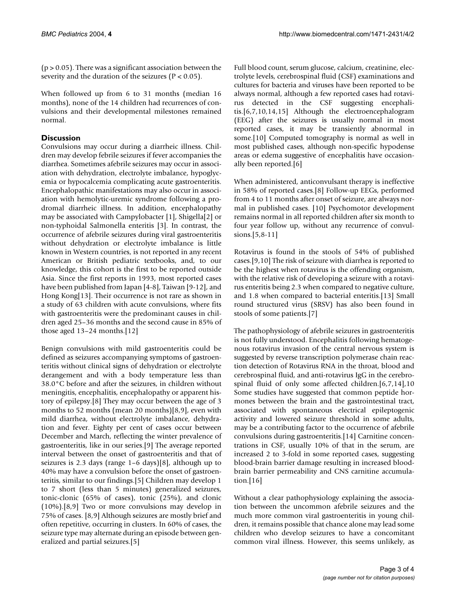$(p > 0.05)$ . There was a significant association between the severity and the duration of the seizures ( $P < 0.05$ ).

When followed up from 6 to 31 months (median 16 months), none of the 14 children had recurrences of convulsions and their developmental milestones remained normal.

## **Discussion**

Convulsions may occur during a diarrheic illness. Children may develop febrile seizures if fever accompanies the diarrhea. Sometimes afebrile seizures may occur in association with dehydration, electrolyte imbalance, hypoglycemia or hypocalcemia complicating acute gastroenteritis. Encephalopathic manifestations may also occur in association with hemolytic-uremic syndrome following a prodromal diarrheic illness. In addition, encephalopathy may be associated with Campylobacter [1], Shigella[2] or non-typhoidal Salmonella enteritis [3]. In contrast, the occurrence of afebrile seizures during viral gastroenteritis without dehydration or electrolyte imbalance is little known in Western countries, is not reported in any recent American or British pediatric textbooks, and, to our knowledge, this cohort is the first to be reported outside Asia. Since the first reports in 1993, most reported cases have been published from Japan [4-8], Taiwan [9-12], and Hong Kong[13]. Their occurrence is not rare as shown in a study of 63 children with acute convulsions, where fits with gastroenteritis were the predominant causes in children aged 25–36 months and the second cause in 85% of those aged 13–24 months.[12]

Benign convulsions with mild gastroenteritis could be defined as seizures accompanying symptoms of gastroenteritis without clinical signs of dehydration or electrolyte derangement and with a body temperature less than 38.0°C before and after the seizures, in children without meningitis, encephalitis, encephalopathy or apparent history of epilepsy.[8] They may occur between the age of 3 months to 52 months (mean 20 months)[8,9], even with mild diarrhea, without electrolyte imbalance, dehydration and fever. Eighty per cent of cases occur between December and March, reflecting the winter prevalence of gastroenteritis, like in our series.[9] The average reported interval between the onset of gastroenteritis and that of seizures is 2.3 days (range 1–6 days)[8], although up to 40% may have a convulsion before the onset of gastroenteritis, similar to our findings.[5] Children may develop 1 to 7 short (less than 5 minutes) generalized seizures, tonic-clonic (65% of cases), tonic (25%), and clonic (10%).[8,9] Two or more convulsions may develop in 75% of cases. [8,9] Although seizures are mostly brief and often repetitive, occurring in clusters. In 60% of cases, the seizure type may alternate during an episode between generalized and partial seizures.[5]

Full blood count, serum glucose, calcium, creatinine, electrolyte levels, cerebrospinal fluid (CSF) examinations and cultures for bacteria and viruses have been reported to be always normal, although a few reported cases had rotavirus detected in the CSF suggesting encephalitis.[6,7,10,14,15] Although the electroencephalogram (EEG) after the seizures is usually normal in most reported cases, it may be transiently abnormal in some.[10] Computed tomography is normal as well in most published cases, although non-specific hypodense areas or edema suggestive of encephalitis have occasionally been reported.[6]

When administered, anticonvulsant therapy is ineffective in 58% of reported cases.[8] Follow-up EEGs, performed from 4 to 11 months after onset of seizure, are always normal in published cases. [10] Psychomotor development remains normal in all reported children after six month to four year follow up, without any recurrence of convulsions.[5,8-11]

Rotavirus is found in the stools of 54% of published cases.[9,10] The risk of seizure with diarrhea is reported to be the highest when rotavirus is the offending organism, with the relative risk of developing a seizure with a rotavirus enteritis being 2.3 when compared to negative culture, and 1.8 when compared to bacterial enteritis.[13] Small round structured virus (SRSV) has also been found in stools of some patients.[7]

The pathophysiology of afebrile seizures in gastroenteritis is not fully understood. Encephalitis following hematogenous rotavirus invasion of the central nervous system is suggested by reverse transcription polymerase chain reaction detection of Rotavirus RNA in the throat, blood and cerebrospinal fluid, and anti-rotavirus IgG in the cerebrospinal fluid of only some affected children.[6,7,14],10 Some studies have suggested that common peptide hormones between the brain and the gastrointestinal tract, associated with spontaneous electrical epileptogenic activity and lowered seizure threshold in some adults, may be a contributing factor to the occurrence of afebrile convulsions during gastroenteritis.[14] Carnitine concentrations in CSF, usually 10% of that in the serum, are increased 2 to 3-fold in some reported cases, suggesting blood-brain barrier damage resulting in increased bloodbrain barrier permeability and CNS carnitine accumulation.[16]

Without a clear pathophysiology explaining the association between the uncommon afebrile seizures and the much more common viral gastroenteritis in young children, it remains possible that chance alone may lead some children who develop seizures to have a concomitant common viral illness. However, this seems unlikely, as